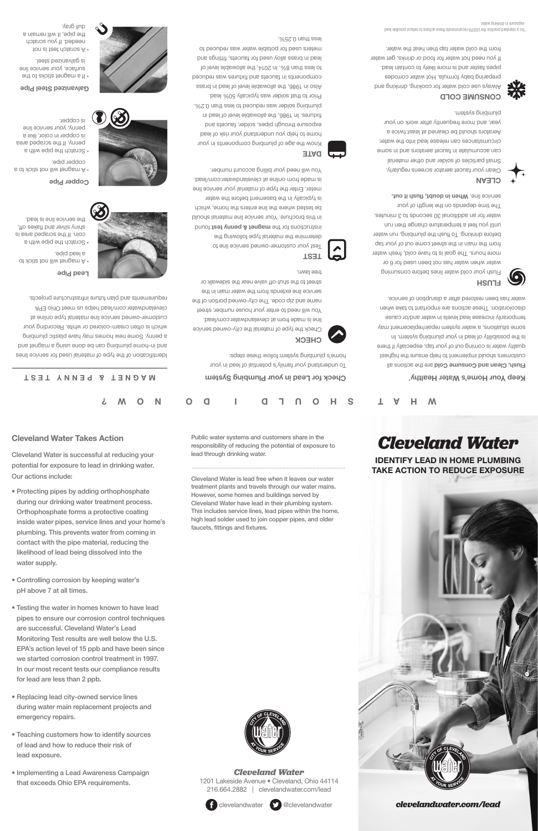# **Cleveland Water Takes Action**

Cleveland Water is successful at reducing your potential for exposure to lead in drinking water. Our actions include:

- Protecting pipes by adding orthophosphate during our drinking water treatment process. Orthophosphate forms a protective coating inside water pipes, service lines and your home's plumbing. This prevents water from coming in contact with the pipe material, reducing the likelihood of lead being dissolved into the water supply.
- Controlling corrosion by keeping water's pH above 7 at all times.
- Testing the water in homes known to have lead pipes to ensure our corrosion control techniques are successful. Cleveland Water's Lead Monitoring Test results are well below the U.S. EPA's action level of 15 ppb and have been since we started corrosion control treatment in 1997. In our most recent tests our compliance results for lead are less than 2 ppb.
- Replacing lead city-owned service lines during water main replacement projects and emergency repairs.
- Teaching customers how to identify sources of lead and how to reduce their risk of lead exposure.
- Implementing a Lead Awareness Campaign that exceeds Ohio EPA requirements.

Public water systems and customers share in the responsibility of reducing the potential of exposure to lead through drinking water.

Cleveland Water is lead free when it leaves our water treatment plants and travels through our water mains. However, some homes and buildings served by Cleveland Water have lead in their plumbing system. This includes service lines, lead pipes within the home, high lead solder used to join copper pipes, and older faucets, fittings and fixtures.



*Cleveland Water* 1201 Lakeside Avenue • Cleveland, Ohio 44114 216.664.2882 | clevelandwater.com/lead



clevelandwater @clevelandwater

# *Cleveland Water*

**IDENTIFY LEAD IN HOME PLUMBING TAKE ACTION TO REDUCE EXPOSURE**



*clevelandwater.com/lead*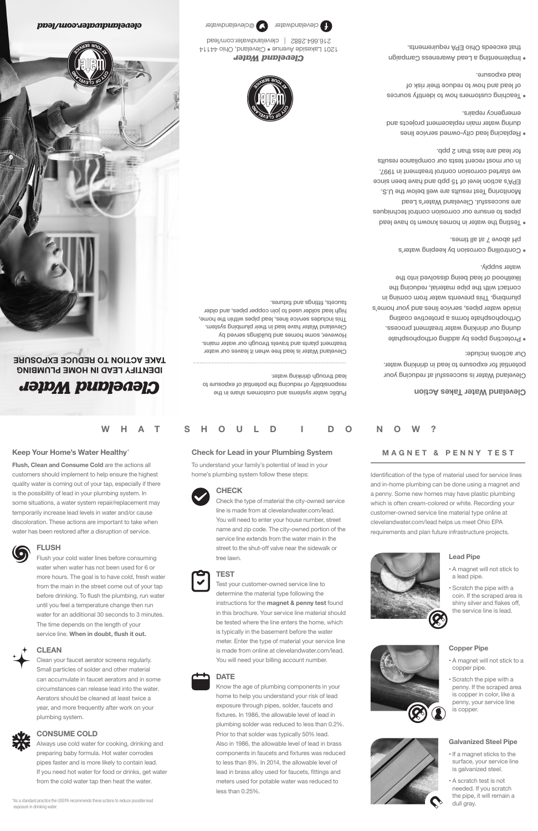# **Keep Your Home's Water Healthy\***

**Flush, Clean and Consume Cold** are the actions all customers should implement to help ensure the highest quality water is coming out of your tap, especially if there is the possibility of lead in your plumbing system. In some situations, a water system repair/replacement may temporarily increase lead levels in water and/or cause discoloration. These actions are important to take when water has been restored after a disruption of service.



# **FLUSH**

Flush your cold water lines before consuming water when water has not been used for 6 or more hours. The goal is to have cold, fresh water from the main in the street come out of your tap before drinking. To flush the plumbing, run water until you feel a temperature change then run water for an additional 30 seconds to 3 minutes. The time depends on the length of your service line. **When in doubt, flush it out.**

# **CLEAN**

Clean your faucet aerator screens regularly. Small particles of solder and other material can accumulate in faucet aerators and in some circumstances can release lead into the water. Aerators should be cleaned at least twice a year, and more frequently after work on your plumbing system.



#### **CONSUME COLD**

Always use cold water for cooking, drinking and preparing baby formula. Hot water corrodes pipes faster and is more likely to contain lead. If you need hot water for food or drinks, get water from the cold water tap then heat the water.

\*As a standard practice the USEPA recommends these actions to reduce possible lead exposure in drinking water.

# **Check for Lead in your Plumbing System**

To understand your family's potential of lead in your home's plumbing system follow these steps:



# **CHECK**

Check the type of material the city-owned service line is made from at clevelandwater.com/lead. You will need to enter your house number, street name and zip code. The city-owned portion of the service line extends from the water main in the street to the shut-off valve near the sidewalk or tree lawn.

# **TEST**

Test your customer-owned service line to determine the material type following the instructions for the **magnet & penny test** found in this brochure. Your service line material should be tested where the line enters the home, which is typically in the basement before the water meter. Enter the type of material your service line is made from online at clevelandwater.com/lead. You will need your billing account number.

# **DATE**

Know the age of plumbing components in your home to help you understand your risk of lead exposure through pipes, solder, faucets and fixtures. In 1986, the allowable level of lead in plumbing solder was reduced to less than 0.2%. Prior to that solder was typically 50% lead. Also in 1986, the allowable level of lead in brass components in faucets and fixtures was reduced to less than 8%. In 2014, the allowable level of lead in brass alloy used for faucets, fittings and meters used for potable water was reduced to less than 0.25%.

# **MAGNET & PENNY TEST**

Identification of the type of material used for service lines and in-home plumbing can be done using a magnet and a penny. Some new homes may have plastic plumbing which is often cream-colored or white. Recording your customer-owned service line material type online at clevelandwater.com/lead helps us meet Ohio EPA requirements and plan future infrastructure projects.

# **Lead Pipe**

- A magnet will not stick to a lead pipe.
- Scratch the pipe with a coin. If the scraped area is shiny silver and flakes off, the service line is lead.

#### **Copper Pipe**

- A magnet will not stick to a copper pipe.
- Scratch the pipe with a penny. If the scraped area is copper in color, like a penny, your service line is copper.

#### **Galvanized Steel Pipe**

- If a magnet sticks to the surface, your service line is galvanized steel.
- A scratch test is not needed. If you scratch the pipe, it will remain a dull gray.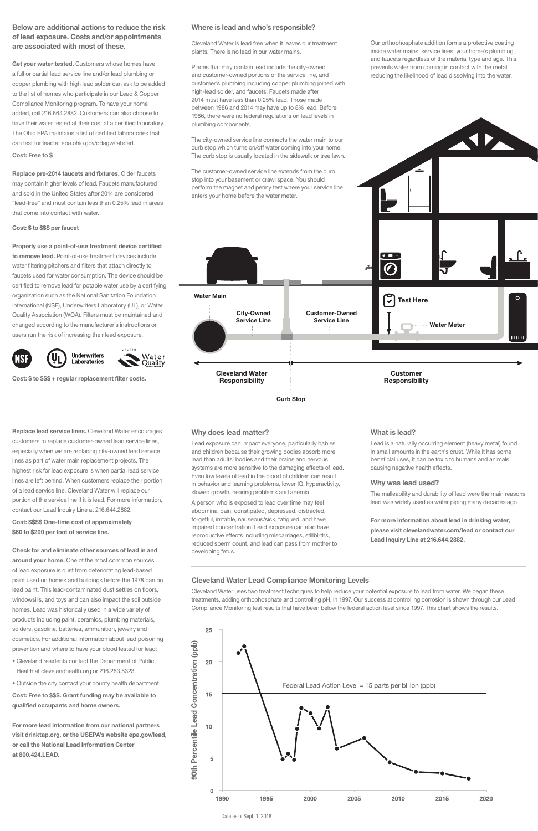# **Below are additional actions to reduce the risk of lead exposure. Costs and/or appointments are associated with most of these.**

**Get your water tested.** Customers whose homes have a full or partial lead service line and/or lead plumbing or copper plumbing with high lead solder can ask to be added to the list of homes who participate in our Lead & Copper Compliance Monitoring program. To have your home added, call 216.664.2882. Customers can also choose to have their water tested at their cost at a certified laboratory. The Ohio EPA maintains a list of certified laboratories that can test for lead at epa.ohio.gov/ddagw/labcert.

#### **Cost: Free to \$**

**Replace pre-2014 faucets and fixtures.** Older faucets may contain higher levels of lead. Faucets manufactured and sold in the United States after 2014 are considered "lead-free" and must contain less than 0.25% lead in areas that come into contact with water.

#### **Cost: \$ to \$\$\$ per faucet**

**Properly use a point-of-use treatment device certified to remove lead.** Point-of-use treatment devices include water filtering pitchers and filters that attach directly to faucets used for water consumption. The device should be certified to remove lead for potable water use by a certifying organization such as the National Sanitation Foundation International (NSF), Underwriters Laboratory (UL), or Water Quality Association (WQA). Filters must be maintained and changed according to the manufacturer's instructions or users run the risk of increasing their lead exposure.



**Cost: \$ to \$\$\$ + regular replacement filter costs.** 

# **Where is lead and who's responsible?**

Cleveland Water is lead free when it leaves our treatment plants. There is no lead in our water mains.

Places that may contain lead include the city-owned and customer-owned portions of the service line, and customer's plumbing including copper plumbing joined with high-lead solder, and faucets. Faucets made after 2014 must have less than 0.25% lead. Those made between 1986 and 2014 may have up to 8% lead. Before 1986, there were no federal regulations on lead levels in plumbing components.

The city-owned service line connects the water main to our curb stop which turns on/off water coming into your home. The curb stop is usually located in the sidewalk or tree lawn.

The customer-owned service line extends from the curb stop into your basement or crawl space. You should perform the magnet and penny test where your service line enters your home before the water meter.

**Curb Stop**

Our orthophosphate addition forms a protective coating inside water mains, service lines, your home's plumbing, and faucets regardless of the material type and age. This prevents water from coming in contact with the metal, reducing the likelihood of lead dissolving into the water.